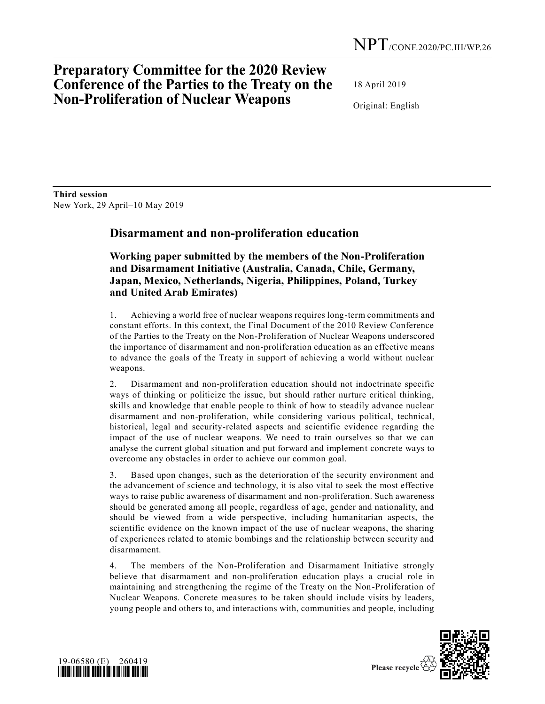# **Preparatory Committee for the 2020 Review Conference of the Parties to the Treaty on the Non-Proliferation of Nuclear Weapons**

18 April 2019

Original: English

**Third session**  New York, 29 April–10 May 2019

## **Disarmament and non-proliferation education**

**Working paper submitted by the members of the Non-Proliferation and Disarmament Initiative (Australia, Canada, Chile, Germany, Japan, Mexico, Netherlands, Nigeria, Philippines, Poland, Turkey and United Arab Emirates)**

1. Achieving a world free of nuclear weapons requires long-term commitments and constant efforts. In this context, the Final Document of the 2010 Review Conference of the Parties to the Treaty on the Non-Proliferation of Nuclear Weapons underscored the importance of disarmament and non-proliferation education as an effective means to advance the goals of the Treaty in support of achieving a world without nuclear weapons.

2. Disarmament and non-proliferation education should not indoctrinate specific ways of thinking or politicize the issue, but should rather nurture critical thinking, skills and knowledge that enable people to think of how to steadily advance nuclear disarmament and non-proliferation, while considering various political, technical, historical, legal and security-related aspects and scientific evidence regarding the impact of the use of nuclear weapons. We need to train ourselves so that we can analyse the current global situation and put forward and implement concrete ways to overcome any obstacles in order to achieve our common goal.

3. Based upon changes, such as the deterioration of the security environment and the advancement of science and technology, it is also vital to seek the most effective ways to raise public awareness of disarmament and non-proliferation. Such awareness should be generated among all people, regardless of age, gender and nationality, and should be viewed from a wide perspective, including humanitarian aspects, the scientific evidence on the known impact of the use of nuclear weapons, the sharing of experiences related to atomic bombings and the relationship between security and disarmament.

4. The members of the Non-Proliferation and Disarmament Initiative strongly believe that disarmament and non-proliferation education plays a crucial role in maintaining and strengthening the regime of the Treaty on the Non-Proliferation of Nuclear Weapons. Concrete measures to be taken should include visits by leaders, young people and others to, and interactions with, communities and people, including



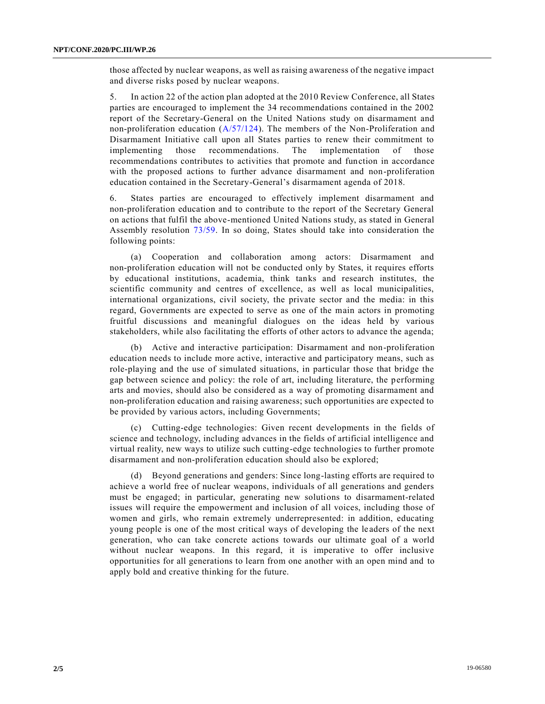those affected by nuclear weapons, as well as raising awareness of the negative impact and diverse risks posed by nuclear weapons.

5. In action 22 of the action plan adopted at the 2010 Review Conference, all States parties are encouraged to implement the 34 recommendations contained in the 2002 report of the Secretary-General on the United Nations study on disarmament and non-proliferation education  $(A/57/124)$ . The members of the Non-Proliferation and Disarmament Initiative call upon all States parties to renew their commitment to implementing those recommendations. The implementation of those recommendations contributes to activities that promote and function in accordance with the proposed actions to further advance disarmament and non-proliferation education contained in the Secretary-General's disarmament agenda of 2018.

6. States parties are encouraged to effectively implement disarmament and non-proliferation education and to contribute to the report of the Secretary General on actions that fulfil the above-mentioned United Nations study, as stated in General Assembly resolution [73/59.](https://undocs.org/en/A/RES/73/59) In so doing, States should take into consideration the following points:

(a) Cooperation and collaboration among actors: Disarmament and non-proliferation education will not be conducted only by States, it requires efforts by educational institutions, academia, think tanks and research institutes, the scientific community and centres of excellence, as well as local municipalities, international organizations, civil society, the private sector and the media: in this regard, Governments are expected to serve as one of the main actors in promoting fruitful discussions and meaningful dialogues on the ideas held by various stakeholders, while also facilitating the efforts of other actors to advance the agenda;

(b) Active and interactive participation: Disarmament and non-proliferation education needs to include more active, interactive and participatory means, such as role-playing and the use of simulated situations, in particular those that bridge the gap between science and policy: the role of art, including literature, the performing arts and movies, should also be considered as a way of promoting disarmament and non-proliferation education and raising awareness; such opportunities are expected to be provided by various actors, including Governments;

(c) Cutting-edge technologies: Given recent developments in the fields of science and technology, including advances in the fields of artificial intelligence and virtual reality, new ways to utilize such cutting-edge technologies to further promote disarmament and non-proliferation education should also be explored;

(d) Beyond generations and genders: Since long-lasting efforts are required to achieve a world free of nuclear weapons, individuals of all generations and genders must be engaged; in particular, generating new solutions to disarmament-related issues will require the empowerment and inclusion of all voices, including those of women and girls, who remain extremely underrepresented: in addition, educating young people is one of the most critical ways of developing the le aders of the next generation, who can take concrete actions towards our ultimate goal of a world without nuclear weapons. In this regard, it is imperative to offer inclusive opportunities for all generations to learn from one another with an open mind and to apply bold and creative thinking for the future.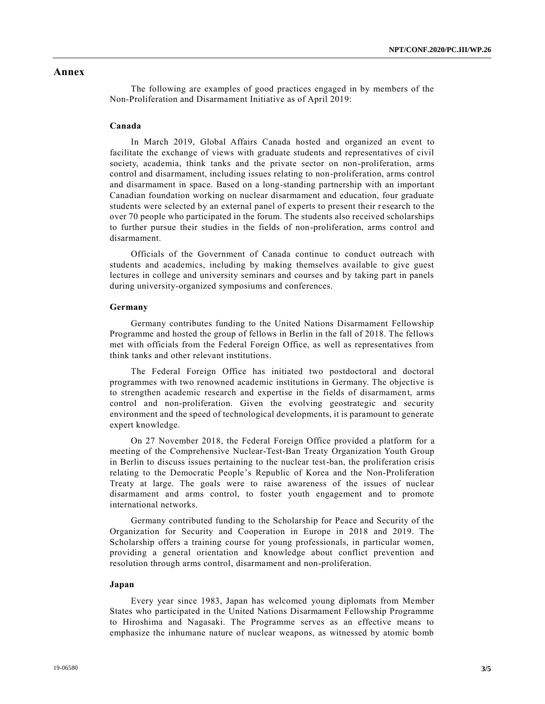### **Annex**

The following are examples of good practices engaged in by members of the Non-Proliferation and Disarmament Initiative as of April 2019:

#### **Canada**

In March 2019, Global Affairs Canada hosted and organized an event to facilitate the exchange of views with graduate students and representatives of civil society, academia, think tanks and the private sector on non-proliferation, arms control and disarmament, including issues relating to non-proliferation, arms control and disarmament in space. Based on a long-standing partnership with an important Canadian foundation working on nuclear disarmament and education, four graduate students were selected by an external panel of experts to present their research to the over 70 people who participated in the forum. The students also received scholarships to further pursue their studies in the fields of non-proliferation, arms control and disarmament.

Officials of the Government of Canada continue to conduct outreach with students and academics, including by making themselves available to give guest lectures in college and university seminars and courses and by taking part in panels during university-organized symposiums and conferences.

#### **Germany**

Germany contributes funding to the United Nations Disarmament Fellowship Programme and hosted the group of fellows in Berlin in the fall of 2018. The fellows met with officials from the Federal Foreign Office, as well as representatives from think tanks and other relevant institutions.

The Federal Foreign Office has initiated two postdoctoral and doctoral programmes with two renowned academic institutions in Germany. The objective is to strengthen academic research and expertise in the fields of disarmament, arms control and non-proliferation. Given the evolving geostrategic and security environment and the speed of technological developments, it is paramount to generate expert knowledge.

On 27 November 2018, the Federal Foreign Office provided a platform for a meeting of the Comprehensive Nuclear-Test-Ban Treaty Organization Youth Group in Berlin to discuss issues pertaining to the nuclear test-ban, the proliferation crisis relating to the Democratic People's Republic of Korea and the Non-Proliferation Treaty at large. The goals were to raise awareness of the issues of nuclear disarmament and arms control, to foster youth engagement and to promote international networks.

Germany contributed funding to the Scholarship for Peace and Security of the Organization for Security and Cooperation in Europe in 2018 and 2019. The Scholarship offers a training course for young professionals, in particular women, providing a general orientation and knowledge about conflict prevention and resolution through arms control, disarmament and non-proliferation.

#### **Japan**

Every year since 1983, Japan has welcomed young diplomats from Member States who participated in the United Nations Disarmament Fellowship Programme to Hiroshima and Nagasaki. The Programme serves as an effective means to emphasize the inhumane nature of nuclear weapons, as witnessed by atomic bomb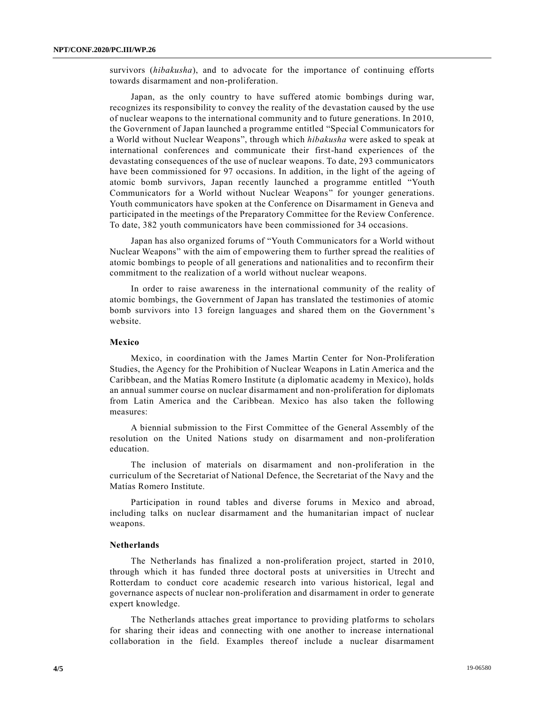survivors (*hibakusha*), and to advocate for the importance of continuing efforts towards disarmament and non-proliferation.

Japan, as the only country to have suffered atomic bombings during war, recognizes its responsibility to convey the reality of the devastation caused by the use of nuclear weapons to the international community and to future generations. In 2010, the Government of Japan launched a programme entitled "Special Communicators for a World without Nuclear Weapons", through which *hibakusha* were asked to speak at international conferences and communicate their first-hand experiences of the devastating consequences of the use of nuclear weapons. To date, 293 communicators have been commissioned for 97 occasions. In addition, in the light of the ageing of atomic bomb survivors, Japan recently launched a programme entitled "Youth Communicators for a World without Nuclear Weapons" for younger generations. Youth communicators have spoken at the Conference on Disarmament in Geneva and participated in the meetings of the Preparatory Committee for the Review Conference. To date, 382 youth communicators have been commissioned for 34 occasions.

Japan has also organized forums of "Youth Communicators for a World without Nuclear Weapons" with the aim of empowering them to further spread the realities of atomic bombings to people of all generations and nationalities and to reconfirm their commitment to the realization of a world without nuclear weapons.

In order to raise awareness in the international community of the reality of atomic bombings, the Government of Japan has translated the testimonies of atomic bomb survivors into 13 foreign languages and shared them on the Government's website.

#### **Mexico**

Mexico, in coordination with the James Martin Center for Non-Proliferation Studies, the Agency for the Prohibition of Nuclear Weapons in Latin America and the Caribbean, and the Matías Romero Institute (a diplomatic academy in Mexico), holds an annual summer course on nuclear disarmament and non-proliferation for diplomats from Latin America and the Caribbean. Mexico has also taken the following measures:

A biennial submission to the First Committee of the General Assembly of the resolution on the United Nations study on disarmament and non-proliferation education.

The inclusion of materials on disarmament and non-proliferation in the curriculum of the Secretariat of National Defence, the Secretariat of the Navy and the Matías Romero Institute.

Participation in round tables and diverse forums in Mexico and abroad, including talks on nuclear disarmament and the humanitarian impact of nuclear weapons.

#### **Netherlands**

The Netherlands has finalized a non-proliferation project, started in 2010, through which it has funded three doctoral posts at universities in Utrecht and Rotterdam to conduct core academic research into various historical, legal and governance aspects of nuclear non-proliferation and disarmament in order to generate expert knowledge.

The Netherlands attaches great importance to providing platforms to scholars for sharing their ideas and connecting with one another to increase international collaboration in the field. Examples thereof include a nuclear disarmament